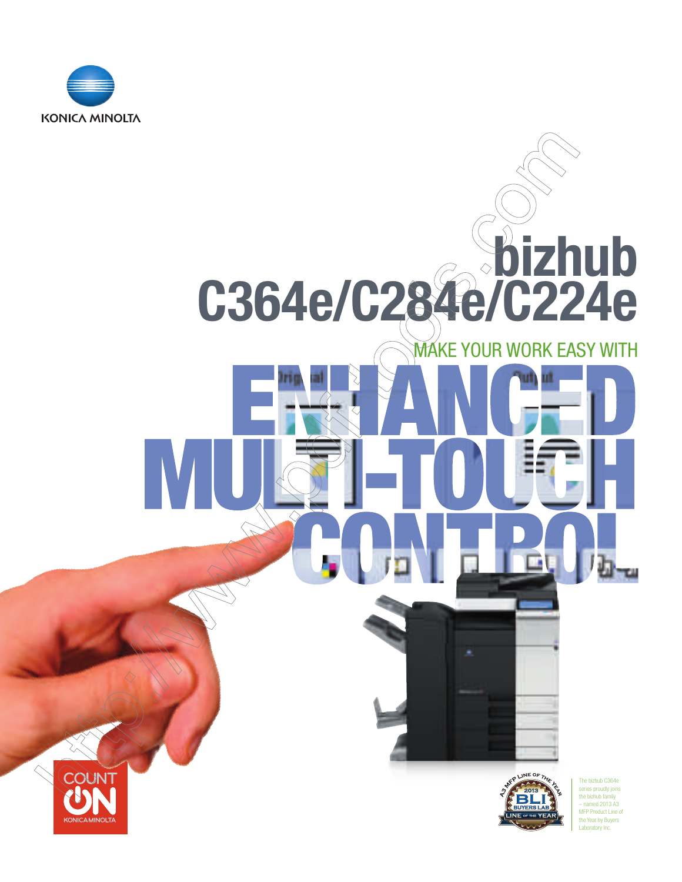

### bizhub C364e/C284e/C224e MAKE YOUR WORK EASY WITH

m



Ē

U.

The bizhub C364e series proudly joins the bizhub family – named 2013 A3 MFP Product Line of the Year by Buyers Laboratory Inc.

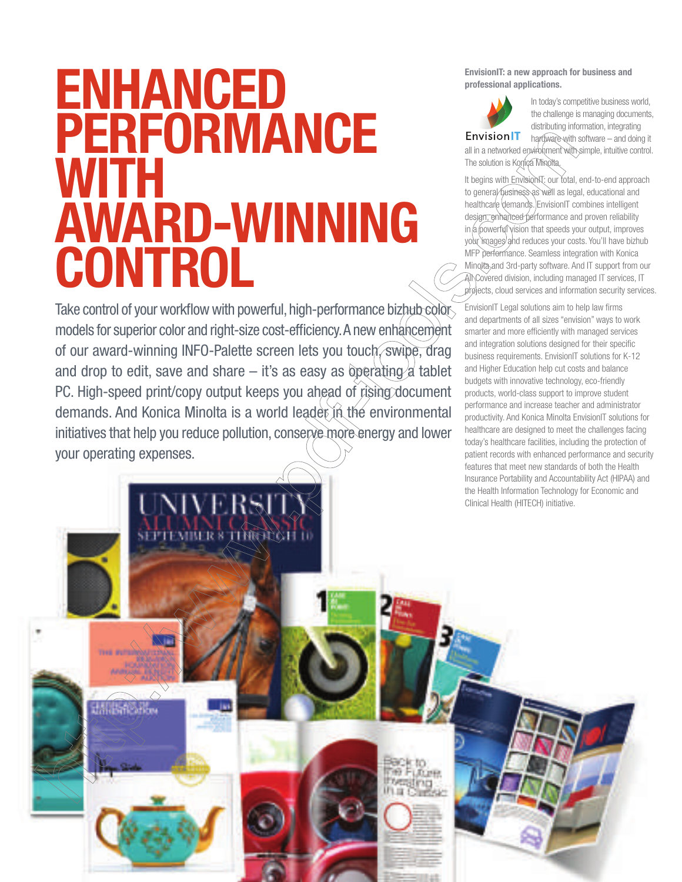## ENHANCED **PERFORMANCE WITH** AWARD-WINNING **CONTROL**

Take control of your workflow with powerful, high-performance bizhub color models for superior color and right-size cost-efficiency. A new enhancement of our award-winning INFO-Palette screen lets you touch, swipe, drag and drop to edit, save and share  $-$  it's as easy as operating a tablet PC. High-speed print/copy output keeps you ahead of rising document demands. And Konica Minolta is a world leader in the environmental initiatives that help you reduce pollution, conserve more energy and lower your operating expenses.

EnvisionIT: a new approach for business and professional applications.

**Envision**<sup>1</sup>

In today's competitive business world, the challenge is managing documents, distributing information, integrating

hardware with software – and doing it all in a networked envirohment with simple, intuitive control. The solution is Konica Minolta.

It begins with Envision T: our total, end-to-end approach to general business as well as legal, educational and healthcare demands. EnvisionIT combines intelligent design, enhanced performance and proven reliability  $\ln \frac{a}{\omega}$  powerful vision that speeds your output, improves your images and reduces your costs. You'll have bizhub MFP performance. Seamless integration with Konica Minolta and 3rd-party software. And IT support from our All Covered division, including managed IT services, IT projects, cloud services and information security services.

EnvisionIT Legal solutions aim to help law firms and departments of all sizes "envision" ways to work smarter and more efficiently with managed services and integration solutions designed for their specific business requirements. EnvisionIT solutions for K-12 and Higher Education help cut costs and balance budgets with innovative technology, eco-friendly products, world-class support to improve student performance and increase teacher and administrator productivity. And Konica Minolta EnvisionIT solutions for healthcare are designed to meet the challenges facing today's healthcare facilities, including the protection of patient records with enhanced performance and security features that meet new standards of both the Health

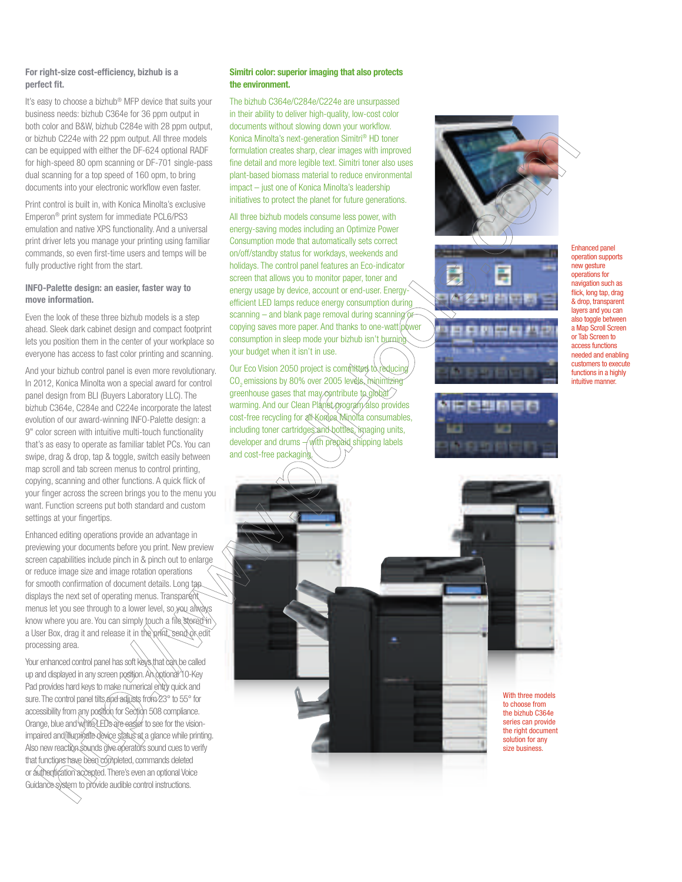#### For right-size cost-efficiency, bizhub is a perfect fit.

It's easy to choose a bizhub® MFP device that suits your business needs: bizhub C364e for 36 ppm output in both color and B&W, bizhub C284e with 28 ppm output, or bizhub C224e with 22 ppm output. All three models can be equipped with either the DF-624 optional RADF for high-speed 80 opm scanning or DF-701 single-pass dual scanning for a top speed of 160 opm, to bring documents into your electronic workflow even faster.

Print control is built in, with Konica Minolta's exclusive Emperon® print system for immediate PCL6/PS3 emulation and native XPS functionality. And a universal print driver lets you manage your printing using familiar commands, so even first-time users and temps will be fully productive right from the start.

#### INFO-Palette design: an easier, faster way to move information.

Even the look of these three bizhub models is a step ahead. Sleek dark cabinet design and compact footprint lets you position them in the center of your workplace so everyone has access to fast color printing and scanning.

And your bizhub control panel is even more revolutionary. In 2012, Konica Minolta won a special award for control panel design from BLI (Buyers Laboratory LLC). The bizhub C364e, C284e and C224e incorporate the latest evolution of our award-winning INFO-Palette design: a 9" color screen with intuitive multi-touch functionality that's as easy to operate as familiar tablet PCs. You can swipe, drag & drop, tap & toggle, switch easily between map scroll and tab screen menus to control printing, copying, scanning and other functions. A quick flick of your finger across the screen brings you to the menu you want. Function screens put both standard and custom settings at your fingertips.

Enhanced editing operations provide an advantage in previewing your documents before you print. New preview screen capabilities include pinch in & pinch out to enlarge or reduce image size and image rotation operations for smooth confirmation of document details. Long tap displays the next set of operating menus. Transparent menus let you see through to a lower level, so you always know where you are. You can simply touch a file stored in a User Box, drag it and release it in the print, send or edi processing area.

Your enhanced control panel has soft keys that can be called up and displayed in any screen position. An optional 10-Key Pad provides hard keys to make numerical entry quick and sure. The control panel tilts and adjusts from 23° to 55° for accessibility from any position for Section 508 compliance. Orange, blue and white LEDs are easier to see for the visionimpaired and illuminate device status at a glance while printing. Also new reaction sounds give operators sound cues to verify that functions have been completed, commands deleted or authentication accepted. There's even an optional Voice Guidance system to provide audible control instructions.

#### Simitri color: superior imaging that also protects the environment.

The bizhub C364e/C284e/C224e are unsurpassed in their ability to deliver high-quality, low-cost color documents without slowing down your workflow. Konica Minolta's next-generation Simitri® HD toner formulation creates sharp, clear images with improved fine detail and more legible text. Simitri toner also uses plant-based biomass material to reduce environmental impact – just one of Konica Minolta's leadership initiatives to protect the planet for future generations.

All three bizhub models consume less power, with energy-saving modes including an Optimize Power Consumption mode that automatically sets correct on/off/standby status for workdays, weekends and holidays. The control panel features an Eco-indicator screen that allows you to monitor paper, toner and energy usage by device, account or end-user. Energyefficient LED lamps reduce energy consumption during scanning  $-$  and blank page removal during scanning copying saves more paper. And thanks to one-watt power consumption in sleep mode your bizhub isn't burning your budget when it isn't in use.

Our Eco Vision 2050 project is committed to reducing CO<sub>2</sub> emissions by 80% over 2005 levels, minimizing greenhouse gases that may contribute to global warming. And our Clean Planet program also provides cost-free recycling for all Konica Minolta consumables, including toner cartridges and bottles, imaging units, developer and drums  $-\sqrt{$  with prepaid shipping labels and cost-free packaging









Enhanced panel operation supports new gesture operations for navigation such as flick, long tap, drag & drop, transparent layers and you can also toggle between a Map Scroll Screen or Tab Screen to access functions needed and enabling customers to execute functions in a highly intuitive manner.

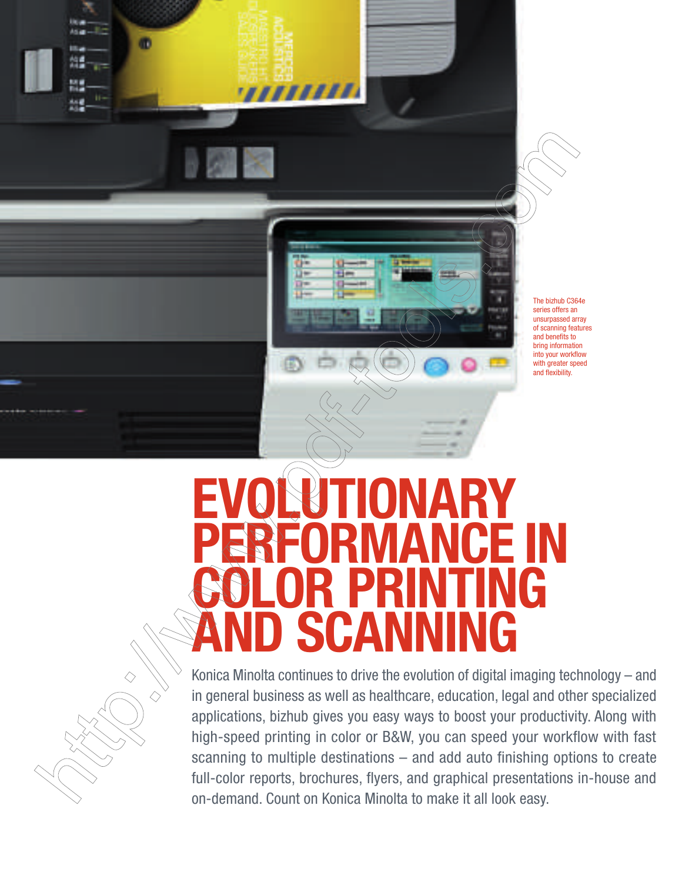The bizhub C364e series offers an unsurpassed array of scanning features and benefits to bring information into your workflow with greater speed and flexibility.

# EVOLUTIONARY ICE IN<br>TING COLOR PRINTING **SCANNING**

æ

77777777

Konica Minolta continues to drive the evolution of digital imaging technology – and in general business as well as healthcare, education, legal and other specialized applications, bizhub gives you easy ways to boost your productivity. Along with high-speed printing in color or B&W, you can speed your workflow with fast scanning to multiple destinations – and add auto finishing options to create full-color reports, brochures, flyers, and graphical presentations in-house and on-demand. Count on Konica Minolta to make it all look easy.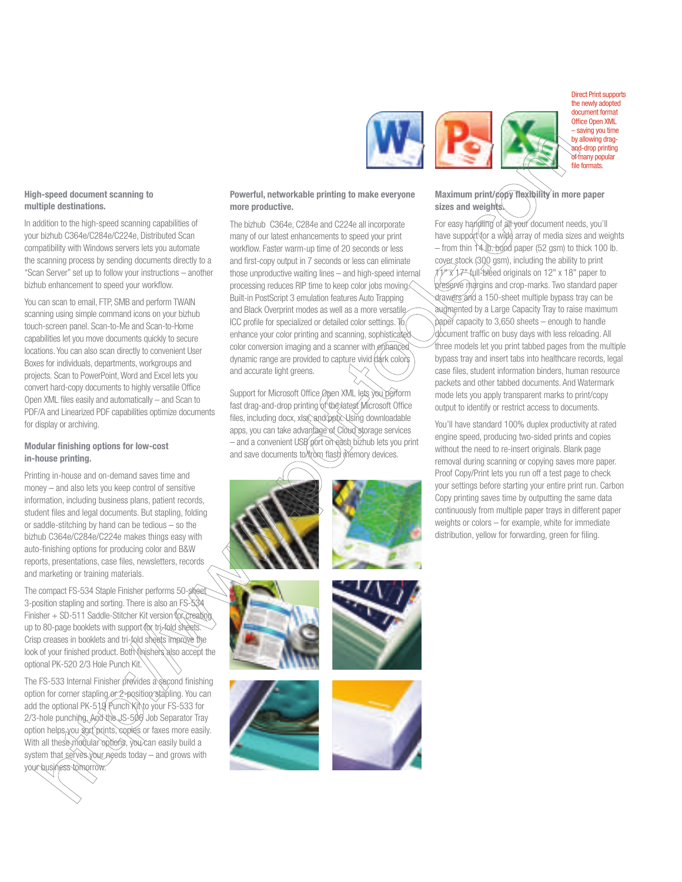#### High-speed document scanning to multiple destinations.

In addition to the high-speed scanning capabilities of your bizhub C364e/C284e/C224e, Distributed Scan compatibility with Windows servers lets you automate the scanning process by sending documents directly to a "Scan Server" set up to follow your instructions – another bizhub enhancement to speed your workflow.

You can scan to email, FTP, SMB and perform TWAIN scanning using simple command icons on your bizhub touch-screen panel. Scan-to-Me and Scan-to-Home capabilities let you move documents quickly to secure locations. You can also scan directly to convenient User Boxes for individuals, departments, workgroups and projects. Scan to PowerPoint, Word and Excel lets you convert hard-copy documents to highly versatile Office Open XML files easily and automatically – and Scan to PDF/A and Linearized PDF capabilities optimize documents for display or archiving.

#### Modular finishing options for low-cost in-house printing.

Printing in-house and on-demand saves time and money – and also lets you keep control of sensitive information, including business plans, patient records, student files and legal documents. But stapling, folding or saddle-stitching by hand can be tedious – so the bizhub C364e/C284e/C224e makes things easy with auto-finishing options for producing color and B&W reports, presentations, case files, newsletters, records and marketing or training materials.

The compact FS-534 Staple Finisher performs 50-sh 3-position stapling and sorting. There is also an FS-534 Finisher + SD-511 Saddle-Stitcher Kit version for creating up to 80-page booklets with support (or tri-fold sheets Crisp creases in booklets and tri-fold sheets improve the look of your finished product. Both the salso accept the optional PK-520 2/3 Hole Punch Kit.

The FS-533 Internal Finisher provides a second finishing option for corner stapling or 2-position stapling. You can add the optional PK-519 Punch Kit to your FS-533 for 2/3-hole punching. And the US-506 Job Separator Tray option helps you sort prints, copies or faxes more easily. With all these modular options, you can easily build a system that serves your needs today – and grows with your business tomorrow.

### Powerful, networkable printing to make everyone more productive.

The bizhub C364e, C284e and C224e all incorporate many of our latest enhancements to speed your print workflow. Faster warm-up time of 20 seconds or less and first-copy output in 7 seconds or less can eliminate those unproductive waiting lines – and high-speed internal processing reduces RIP time to keep color jobs moving. Built-in PostScript 3 emulation features Auto Trapping and Black Overprint modes as well as a more versatile ICC profile for specialized or detailed color settings.  $\mathbb T$ enhance your color printing and scanning, sophisticated color conversion imaging and a scanner with enhanced dynamic range are provided to capture vivid dark colors and accurate light greens.

Support for Microsoft Office Open XML lets you perform fast drag-and-drop printing of the latest Microsoft Office files, including docx, xlsx, and pptx. Using downloadable apps, you can take advantage of Cloud storage services – and a convenient USB port on each bizhub lets you print and save documents to toon flash memory devices.















Direct Print supports the newly adopted document format Office Open XML – saving you time by allowing dragand-drop printing of many popular file formats.

### Maximum print/copy flexibility in more paper sizes and weights.

For easy handling of all your document needs, you'll have support for a wide array of media sizes and weights  $-$  from thin 14 lb. bond paper (52 gsm) to thick 100 lb. cover stock (300 gsm), including the ability to print 11" x 17" full-bleed originals on 12" x 18" paper to preserve margins and crop-marks. Two standard paper drawers and a 150-sheet multiple bypass tray can be augmented by a Large Capacity Tray to raise maximum paper capacity to 3,650 sheets – enough to handle document traffic on busy days with less reloading. All three models let you print tabbed pages from the multiple bypass tray and insert tabs into healthcare records, legal case files, student information binders, human resource packets and other tabbed documents. And Watermark mode lets you apply transparent marks to print/copy output to identify or restrict access to documents.

You'll have standard 100% duplex productivity at rated engine speed, producing two-sided prints and copies without the need to re-insert originals. Blank page removal during scanning or copying saves more paper. Proof Copy/Print lets you run off a test page to check your settings before starting your entire print run. Carbon Copy printing saves time by outputting the same data continuously from multiple paper trays in different paper weights or colors – for example, white for immediate distribution, yellow for forwarding, green for filing.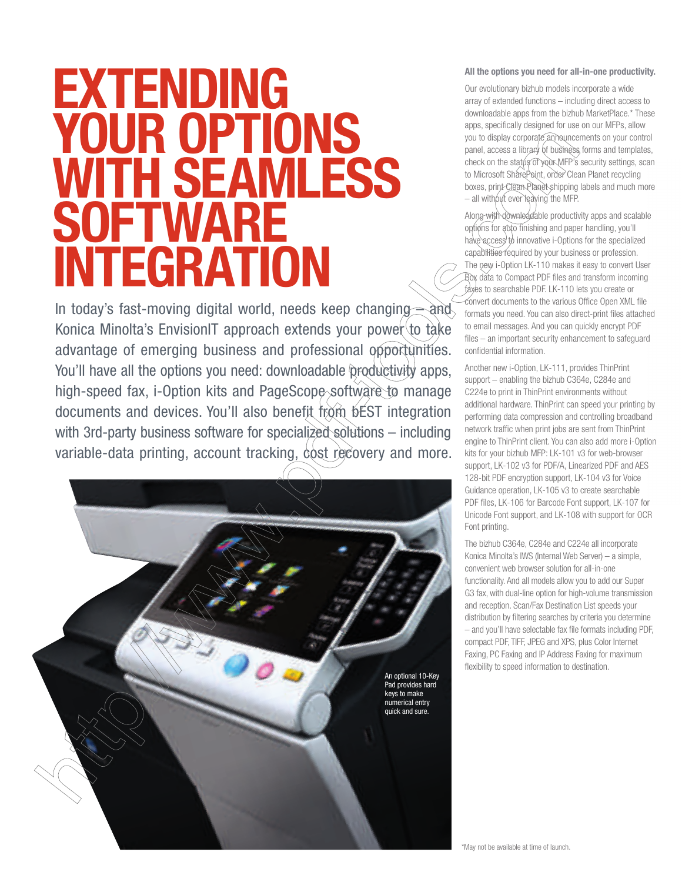### EXTENDING YOUR OPTIONS WITH SEAMLESS **SOFTWARE** INTEGRATION

In today's fast-moving digital world, needs keep changing  $=$  and Konica Minolta's EnvisionIT approach extends your power to take advantage of emerging business and professional opportunities. You'll have all the options you need: downloadable productivity apps, high-speed fax, i-Option kits and PageScope software to manage documents and devices. You'll also benefit from bEST integration with 3rd-party business software for specialized solutions – including variable-data printing, account tracking, cost recovery and more.



#### All the options you need for all-in-one productivity.

Our evolutionary bizhub models incorporate a wide array of extended functions – including direct access to downloadable apps from the bizhub MarketPlace.\* These apps, specifically designed for use on our MFPs, allow you to display corporate announcements on your control panel, access a library of business forms and templates, check on the status of your MFP's security settings, scan to Microsoft SharePoint, order Clean Planet recycling boxes, print Clean Planet shipping labels and much more  $-$  all without ever leaving the MFP.

Along with downloadable productivity apps and scalable options for auto finishing and paper handling, you'll have access to innovative i-Options for the specialized capabilities required by your business or profession. The new i-Option LK-110 makes it easy to convert User Box data to Compact PDF files and transform incoming faxes to searchable PDF. LK-110 lets you create or convert documents to the various Office Open XML file formats you need. You can also direct-print files attached to email messages. And you can quickly encrypt PDF files – an important security enhancement to safeguard confidential information.

Another new i-Option, LK-111, provides ThinPrint support – enabling the bizhub C364e, C284e and C224e to print in ThinPrint environments without additional hardware. ThinPrint can speed your printing by performing data compression and controlling broadband network traffic when print jobs are sent from ThinPrint engine to ThinPrint client. You can also add more i-Option kits for your bizhub MFP: LK-101 v3 for web-browser support, LK-102 v3 for PDF/A, Linearized PDF and AES 128-bit PDF encryption support, LK-104 v3 for Voice Guidance operation, LK-105 v3 to create searchable PDF files, LK-106 for Barcode Font support, LK-107 for Unicode Font support, and LK-108 with support for OCR Font printing.

The bizhub C364e, C284e and C224e all incorporate Konica Minolta's IWS (Internal Web Server) – a simple, convenient web browser solution for all-in-one functionality. And all models allow you to add our Super G3 fax, with dual-line option for high-volume transmission and reception. Scan/Fax Destination List speeds your distribution by filtering searches by criteria you determine – and you'll have selectable fax file formats including PDF, compact PDF, TIFF, JPEG and XPS, plus Color Internet Faxing, PC Faxing and IP Address Faxing for maximum flexibility to speed information to destination.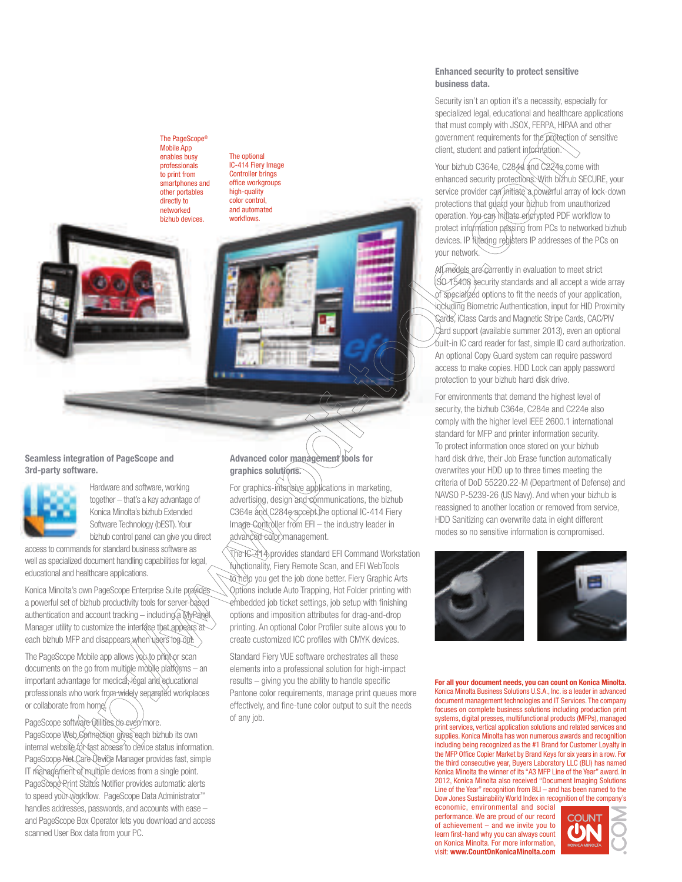#### The PageScope® Mobile App enables busy professionals to print from smartphones and other portables directly to networked

bizhub devices.

The optional IC-414 Fiery Image Controller brings office workgroups high-quality color control, and automated workflows.



Hardware and software, working together – that's a key advantage of Konica Minolta's bizhub Extended Software Technology (bEST). Your bizhub control panel can give you direct

access to commands for standard business software as well as specialized document handling capabilities for legal, educational and healthcare applications.

Konica Minolta's own PageScope Enterprise Suite provides a powerful set of bizhub productivity tools for server-based authentication and account tracking - including a MyPanel Manager utility to customize the interface that appears at each bizhub MFP and disappears when users log out

The PageScope Mobile app allows you to print or scan documents on the go from multiple mobile platforms  $-$  an important advantage for medical, legal and educational professionals who work from widely separated workplaces or collaborate from home.

PageScope software utilities do even more. PageScope Web Connection gives each bizhub its own internal website for fast access to device status information. PageScope Net Care Device Manager provides fast, simple IT management of multiple devices from a single point. PageScope Rrint Status Notifier provides automatic alerts to speed your workflow. PageScope Data Administrator™ handles addresses, passwords, and accounts with ease – and PageScope Box Operator lets you download and access scanned User Box data from your PC.

Advanced color management tools for graphics solutions.

For graphics-intensive applications in marketing, advertising, design and communications, the bizhub C364e and C284e accept the optional IC-414 Fiery Image Controller from EFI - the industry leader in advanced color management.

The IC-414 provides standard EFI Command Workstation unctionality, Fiery Remote Scan, and EFI WebTools to help you get the job done better. Fiery Graphic Arts Options include Auto Trapping, Hot Folder printing with embedded job ticket settings, job setup with finishing options and imposition attributes for drag-and-drop printing. An optional Color Profiler suite allows you to create customized ICC profiles with CMYK devices.

Standard Fiery VUE software orchestrates all these elements into a professional solution for high-impact results – giving you the ability to handle specific Pantone color requirements, manage print queues more effectively, and fine-tune color output to suit the needs of any job.

#### Enhanced security to protect sensitive business data.

Security isn't an option it's a necessity, especially for specialized legal, educational and healthcare applications that must comply with JSOX, FERPA, HIPAA and other government requirements for the protection of sensitive client, student and patient information

Your bizhub C364e, C284e and C224e come with enhanced security protections. With bizhub SECURE, your service provider can initiate a powerful array of lock-down protections that guaked your bizhub from unauthorized operation. You can initiate encrypted PDF workflow to protect information passing from PCs to networked bizhub devices. IP filtering registers IP addresses of the PCs on your network.

All models are currently in evaluation to meet strict SO 15408 security standards and all accept a wide array  $\widetilde{\mathsf{sp}_\mathsf{e}}$ cialized options to fit the needs of your application, achuding Biometric Authentication, input for HID Proximity Cards, iClass Cards and Magnetic Stripe Cards, CAC/PIV Card support (available summer 2013), even an optional built-in IC card reader for fast, simple ID card authorization. An optional Copy Guard system can require password access to make copies. HDD Lock can apply password protection to your bizhub hard disk drive.

For environments that demand the highest level of security, the bizhub C364e, C284e and C224e also comply with the higher level IEEE 2600.1 international standard for MFP and printer information security. To protect information once stored on your bizhub hard disk drive, their Job Erase function automatically overwrites your HDD up to three times meeting the criteria of DoD 55220.22-M (Department of Defense) and NAVSO P-5239-26 (US Navy). And when your bizhub is reassigned to another location or removed from service, HDD Sanitizing can overwrite data in eight different modes so no sensitive information is compromised.



For all your document needs, you can count on Konica Minolta. Konica Minolta Business Solutions U.S.A., Inc. is a leader in advanced document management technologies and IT Services. The company focuses on complete business solutions including production print systems, digital presses, multifunctional products (MFPs), managed print services, vertical application solutions and related services and supplies. Konica Minolta has won numerous awards and recognition including being recognized as the #1 Brand for Customer Loyalty in the MFP Office Copier Market by Brand Keys for six years in a row. For the third consecutive year, Buyers Laboratory LLC (BLI) has named Konica Minolta the winner of its "A3 MFP Line of the Year" award. In 2012, Konica Minolta also received "Document Imaging Solutions Line of the Year" recognition from BLI – and has been named to the Dow Jones Sustainability World Index in recognition of the company's

economic, environmental and social performance. We are proud of our record of achievement – and we invite you to learn first-hand why you can always count on Konica Minolta. For more information, visit: www.CountOnKonicaMinolta.com